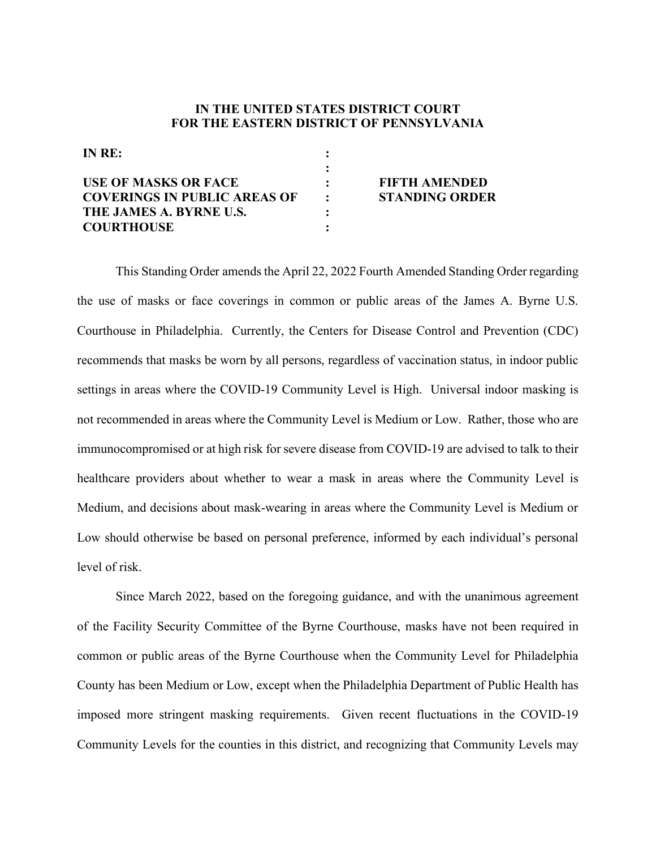## **IN THE UNITED STATES DISTRICT COURT FOR THE EASTERN DISTRICT OF PENNSYLVANIA**

| INRE:                               |               |                       |
|-------------------------------------|---------------|-----------------------|
|                                     |               |                       |
| <b>USE OF MASKS OR FACE</b>         |               | <b>FIFTH AMENDED</b>  |
| <b>COVERINGS IN PUBLIC AREAS OF</b> | $\sim$ $\sim$ | <b>STANDING ORDER</b> |
| THE JAMES A. BYRNE U.S.             |               |                       |
| <b>COURTHOUSE</b>                   |               |                       |

This Standing Order amends the April 22, 2022 Fourth Amended Standing Order regarding the use of masks or face coverings in common or public areas of the James A. Byrne U.S. Courthouse in Philadelphia. Currently, the Centers for Disease Control and Prevention (CDC) recommends that masks be worn by all persons, regardless of vaccination status, in indoor public settings in areas where the COVID-19 Community Level is High. Universal indoor masking is not recommended in areas where the Community Level is Medium or Low. Rather, those who are immunocompromised or at high risk for severe disease from COVID-19 are advised to talk to their healthcare providers about whether to wear a mask in areas where the Community Level is Medium, and decisions about mask-wearing in areas where the Community Level is Medium or Low should otherwise be based on personal preference, informed by each individual's personal level of risk.

Since March 2022, based on the foregoing guidance, and with the unanimous agreement of the Facility Security Committee of the Byrne Courthouse, masks have not been required in common or public areas of the Byrne Courthouse when the Community Level for Philadelphia County has been Medium or Low, except when the Philadelphia Department of Public Health has imposed more stringent masking requirements. Given recent fluctuations in the COVID-19 Community Levels for the counties in this district, and recognizing that Community Levels may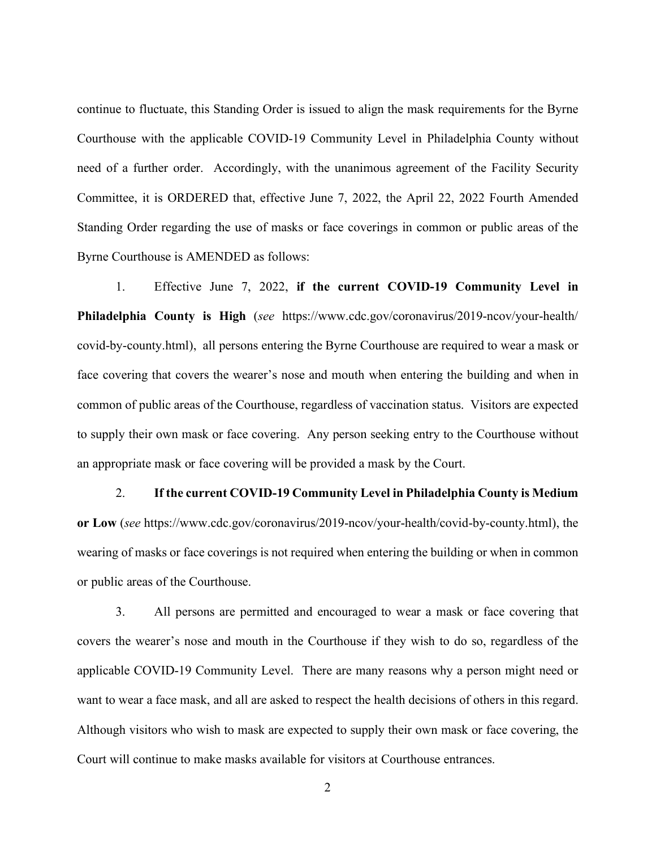continue to fluctuate, this Standing Order is issued to align the mask requirements for the Byrne Courthouse with the applicable COVID-19 Community Level in Philadelphia County without need of a further order. Accordingly, with the unanimous agreement of the Facility Security Committee, it is ORDERED that, effective June 7, 2022, the April 22, 2022 Fourth Amended Standing Order regarding the use of masks or face coverings in common or public areas of the Byrne Courthouse is AMENDED as follows:

1. Effective June 7, 2022, **if the current COVID-19 Community Level in Philadelphia County is High** (*see* https://www.cdc.gov/coronavirus/2019-ncov/your-health/ covid-by-county.html), all persons entering the Byrne Courthouse are required to wear a mask or face covering that covers the wearer's nose and mouth when entering the building and when in common of public areas of the Courthouse, regardless of vaccination status. Visitors are expected to supply their own mask or face covering. Any person seeking entry to the Courthouse without an appropriate mask or face covering will be provided a mask by the Court.

2. **If the current COVID-19 Community Level in Philadelphia County is Medium or Low** (*see* https://www.cdc.gov/coronavirus/2019-ncov/your-health/covid-by-county.html), the wearing of masks or face coverings is not required when entering the building or when in common or public areas of the Courthouse.

3. All persons are permitted and encouraged to wear a mask or face covering that covers the wearer's nose and mouth in the Courthouse if they wish to do so, regardless of the applicable COVID-19 Community Level. There are many reasons why a person might need or want to wear a face mask, and all are asked to respect the health decisions of others in this regard. Although visitors who wish to mask are expected to supply their own mask or face covering, the Court will continue to make masks available for visitors at Courthouse entrances.